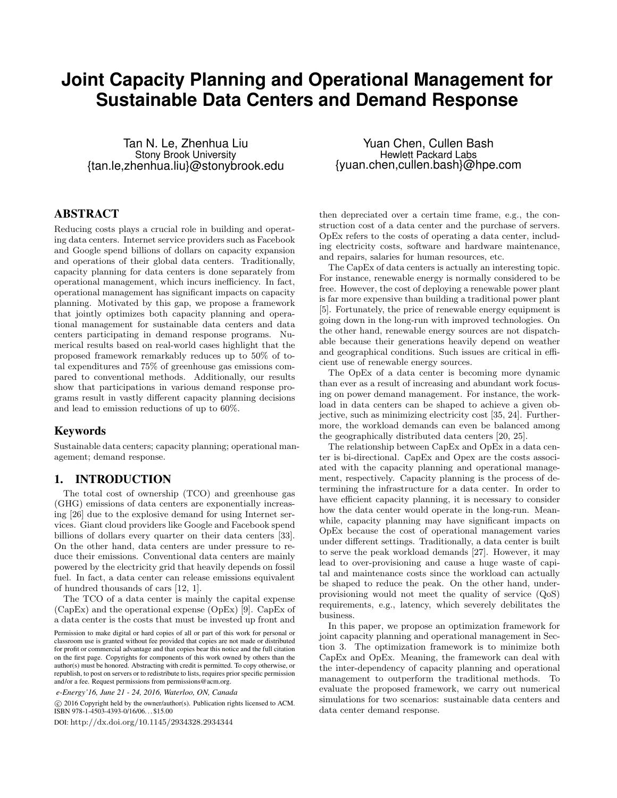# **Joint Capacity Planning and Operational Management for Sustainable Data Centers and Demand Response**

Tan N. Le, Zhenhua Liu Stony Brook University {tan.le,zhenhua.liu}@stonybrook.edu

# ABSTRACT

Reducing costs plays a crucial role in building and operating data centers. Internet service providers such as Facebook and Google spend billions of dollars on capacity expansion and operations of their global data centers. Traditionally, capacity planning for data centers is done separately from operational management, which incurs inefficiency. In fact, operational management has significant impacts on capacity planning. Motivated by this gap, we propose a framework that jointly optimizes both capacity planning and operational management for sustainable data centers and data centers participating in demand response programs. Numerical results based on real-world cases highlight that the proposed framework remarkably reduces up to 50% of total expenditures and 75% of greenhouse gas emissions compared to conventional methods. Additionally, our results show that participations in various demand response programs result in vastly different capacity planning decisions and lead to emission reductions of up to 60%.

## Keywords

Sustainable data centers; capacity planning; operational management; demand response.

#### 1. INTRODUCTION

The total cost of ownership (TCO) and greenhouse gas (GHG) emissions of data centers are exponentially increasing [26] due to the explosive demand for using Internet services. Giant cloud providers like Google and Facebook spend billions of dollars every quarter on their data centers [33]. On the other hand, data centers are under pressure to reduce their emissions. Conventional data centers are mainly powered by the electricity grid that heavily depends on fossil fuel. In fact, a data center can release emissions equivalent of hundred thousands of cars [12, 1].

The TCO of a data center is mainly the capital expense (CapEx) and the operational expense (OpEx) [9]. CapEx of a data center is the costs that must be invested up front and

*e-Energy'16, June 21 - 24, 2016, Waterloo, ON, Canada*

 c 2016 Copyright held by the owner/author(s). Publication rights licensed to ACM. ISBN 978-1-4503-4393-0/16/06. . . \$15.00

DOI: http://dx.doi.org/10.1145/2934328.2934344

Yuan Chen, Cullen Bash Hewlett Packard Labs {yuan.chen,cullen.bash}@hpe.com

then depreciated over a certain time frame, e.g., the construction cost of a data center and the purchase of servers. OpEx refers to the costs of operating a data center, including electricity costs, software and hardware maintenance, and repairs, salaries for human resources, etc.

The CapEx of data centers is actually an interesting topic. For instance, renewable energy is normally considered to be free. However, the cost of deploying a renewable power plant is far more expensive than building a traditional power plant [5]. Fortunately, the price of renewable energy equipment is going down in the long-run with improved technologies. On the other hand, renewable energy sources are not dispatchable because their generations heavily depend on weather and geographical conditions. Such issues are critical in efficient use of renewable energy sources.

The OpEx of a data center is becoming more dynamic than ever as a result of increasing and abundant work focusing on power demand management. For instance, the workload in data centers can be shaped to achieve a given objective, such as minimizing electricity cost [35, 24]. Furthermore, the workload demands can even be balanced among the geographically distributed data centers [20, 25].

The relationship between CapEx and OpEx in a data center is bi-directional. CapEx and Opex are the costs associated with the capacity planning and operational management, respectively. Capacity planning is the process of determining the infrastructure for a data center. In order to have efficient capacity planning, it is necessary to consider how the data center would operate in the long-run. Meanwhile, capacity planning may have significant impacts on OpEx because the cost of operational management varies under different settings. Traditionally, a data center is built to serve the peak workload demands [27]. However, it may lead to over-provisioning and cause a huge waste of capital and maintenance costs since the workload can actually be shaped to reduce the peak. On the other hand, underprovisioning would not meet the quality of service (QoS) requirements, e.g., latency, which severely debilitates the business.

In this paper, we propose an optimization framework for joint capacity planning and operational management in Section 3. The optimization framework is to minimize both CapEx and OpEx. Meaning, the framework can deal with the inter-dependency of capacity planning and operational management to outperform the traditional methods. To evaluate the proposed framework, we carry out numerical simulations for two scenarios: sustainable data centers and data center demand response.

Permission to make digital or hard copies of all or part of this work for personal or classroom use is granted without fee provided that copies are not made or distributed for profit or commercial advantage and that copies bear this notice and the full citation on the first page. Copyrights for components of this work owned by others than the author(s) must be honored. Abstracting with credit is permitted. To copy otherwise, or republish, to post on servers or to redistribute to lists, requires prior specific permission and/or a fee. Request permissions from permissions@acm.org.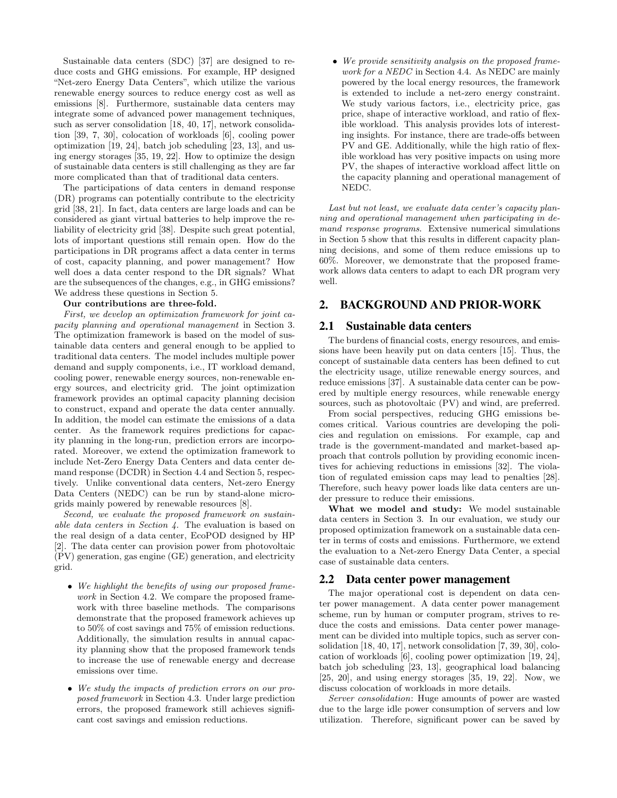Sustainable data centers (SDC) [37] are designed to reduce costs and GHG emissions. For example, HP designed "Net-zero Energy Data Centers", which utilize the various renewable energy sources to reduce energy cost as well as emissions [8]. Furthermore, sustainable data centers may integrate some of advanced power management techniques, such as server consolidation [18, 40, 17], network consolidation [39, 7, 30], colocation of workloads [6], cooling power optimization [19, 24], batch job scheduling [23, 13], and using energy storages [35, 19, 22]. How to optimize the design of sustainable data centers is still challenging as they are far more complicated than that of traditional data centers.

The participations of data centers in demand response (DR) programs can potentially contribute to the electricity grid [38, 21]. In fact, data centers are large loads and can be considered as giant virtual batteries to help improve the reliability of electricity grid [38]. Despite such great potential, lots of important questions still remain open. How do the participations in DR programs affect a data center in terms of cost, capacity planning, and power management? How well does a data center respond to the DR signals? What are the subsequences of the changes, e.g., in GHG emissions? We address these questions in Section 5.

#### Our contributions are three-fold.

First, we develop an optimization framework for joint capacity planning and operational management in Section 3. The optimization framework is based on the model of sustainable data centers and general enough to be applied to traditional data centers. The model includes multiple power demand and supply components, i.e., IT workload demand, cooling power, renewable energy sources, non-renewable energy sources, and electricity grid. The joint optimization framework provides an optimal capacity planning decision to construct, expand and operate the data center annually. In addition, the model can estimate the emissions of a data center. As the framework requires predictions for capacity planning in the long-run, prediction errors are incorporated. Moreover, we extend the optimization framework to include Net-Zero Energy Data Centers and data center demand response (DCDR) in Section 4.4 and Section 5, respectively. Unlike conventional data centers, Net-zero Energy Data Centers (NEDC) can be run by stand-alone microgrids mainly powered by renewable resources [8].

Second, we evaluate the proposed framework on sustainable data centers in Section 4. The evaluation is based on the real design of a data center, EcoPOD designed by HP [2]. The data center can provision power from photovoltaic (PV) generation, gas engine (GE) generation, and electricity grid.

- We highlight the benefits of using our proposed framework in Section 4.2. We compare the proposed framework with three baseline methods. The comparisons demonstrate that the proposed framework achieves up to 50% of cost savings and 75% of emission reductions. Additionally, the simulation results in annual capacity planning show that the proposed framework tends to increase the use of renewable energy and decrease emissions over time.
- We study the impacts of prediction errors on our proposed framework in Section 4.3. Under large prediction errors, the proposed framework still achieves significant cost savings and emission reductions.

• We provide sensitivity analysis on the proposed framework for a NEDC in Section 4.4. As NEDC are mainly powered by the local energy resources, the framework is extended to include a net-zero energy constraint. We study various factors, i.e., electricity price, gas price, shape of interactive workload, and ratio of flexible workload. This analysis provides lots of interesting insights. For instance, there are trade-offs between PV and GE. Additionally, while the high ratio of flexible workload has very positive impacts on using more PV, the shapes of interactive workload affect little on the capacity planning and operational management of NEDC.

Last but not least, we evaluate data center's capacity planning and operational management when participating in demand response programs. Extensive numerical simulations in Section 5 show that this results in different capacity planning decisions, and some of them reduce emissions up to 60%. Moreover, we demonstrate that the proposed framework allows data centers to adapt to each DR program very well.

## 2. BACKGROUND AND PRIOR-WORK

#### 2.1 Sustainable data centers

The burdens of financial costs, energy resources, and emissions have been heavily put on data centers [15]. Thus, the concept of sustainable data centers has been defined to cut the electricity usage, utilize renewable energy sources, and reduce emissions [37]. A sustainable data center can be powered by multiple energy resources, while renewable energy sources, such as photovoltaic (PV) and wind, are preferred.

From social perspectives, reducing GHG emissions becomes critical. Various countries are developing the policies and regulation on emissions. For example, cap and trade is the government-mandated and market-based approach that controls pollution by providing economic incentives for achieving reductions in emissions [32]. The violation of regulated emission caps may lead to penalties [28]. Therefore, such heavy power loads like data centers are under pressure to reduce their emissions.

What we model and study: We model sustainable data centers in Section 3. In our evaluation, we study our proposed optimization framework on a sustainable data center in terms of costs and emissions. Furthermore, we extend the evaluation to a Net-zero Energy Data Center, a special case of sustainable data centers.

#### 2.2 Data center power management

The major operational cost is dependent on data center power management. A data center power management scheme, run by human or computer program, strives to reduce the costs and emissions. Data center power management can be divided into multiple topics, such as server consolidation [18, 40, 17], network consolidation [7, 39, 30], colocation of workloads [6], cooling power optimization [19, 24], batch job scheduling [23, 13], geographical load balancing [25, 20], and using energy storages [35, 19, 22]. Now, we discuss colocation of workloads in more details.

Server consolidation: Huge amounts of power are wasted due to the large idle power consumption of servers and low utilization. Therefore, significant power can be saved by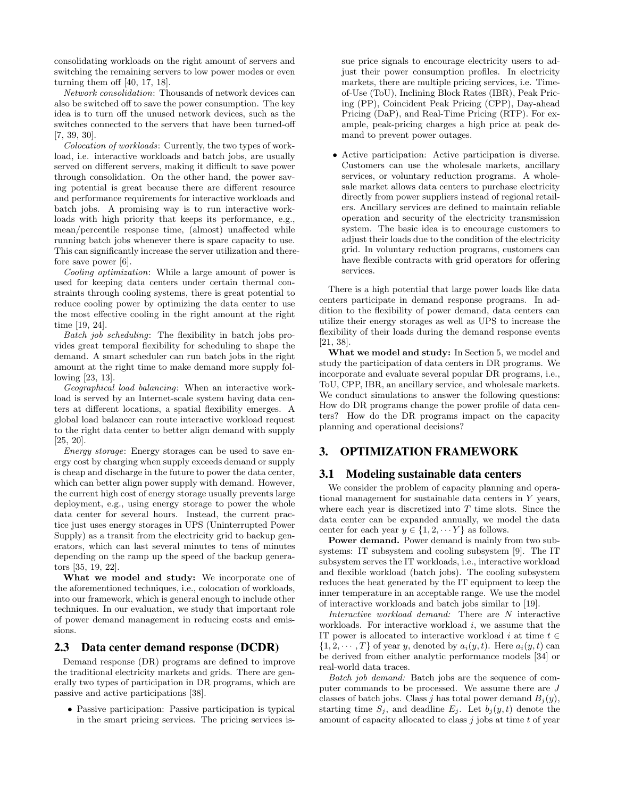consolidating workloads on the right amount of servers and switching the remaining servers to low power modes or even turning them off [40, 17, 18].

Network consolidation: Thousands of network devices can also be switched off to save the power consumption. The key idea is to turn off the unused network devices, such as the switches connected to the servers that have been turned-off [7, 39, 30].

Colocation of workloads: Currently, the two types of workload, i.e. interactive workloads and batch jobs, are usually served on different servers, making it difficult to save power through consolidation. On the other hand, the power saving potential is great because there are different resource and performance requirements for interactive workloads and batch jobs. A promising way is to run interactive workloads with high priority that keeps its performance, e.g., mean/percentile response time, (almost) unaffected while running batch jobs whenever there is spare capacity to use. This can significantly increase the server utilization and therefore save power [6].

Cooling optimization: While a large amount of power is used for keeping data centers under certain thermal constraints through cooling systems, there is great potential to reduce cooling power by optimizing the data center to use the most effective cooling in the right amount at the right time [19, 24].

Batch job scheduling: The flexibility in batch jobs provides great temporal flexibility for scheduling to shape the demand. A smart scheduler can run batch jobs in the right amount at the right time to make demand more supply following [23, 13].

Geographical load balancing: When an interactive workload is served by an Internet-scale system having data centers at different locations, a spatial flexibility emerges. A global load balancer can route interactive workload request to the right data center to better align demand with supply [25, 20].

Energy storage: Energy storages can be used to save energy cost by charging when supply exceeds demand or supply is cheap and discharge in the future to power the data center, which can better align power supply with demand. However, the current high cost of energy storage usually prevents large deployment, e.g., using energy storage to power the whole data center for several hours. Instead, the current practice just uses energy storages in UPS (Uninterrupted Power Supply) as a transit from the electricity grid to backup generators, which can last several minutes to tens of minutes depending on the ramp up the speed of the backup generators [35, 19, 22].

What we model and study: We incorporate one of the aforementioned techniques, i.e., colocation of workloads, into our framework, which is general enough to include other techniques. In our evaluation, we study that important role of power demand management in reducing costs and emissions.

## 2.3 Data center demand response (DCDR)

Demand response (DR) programs are defined to improve the traditional electricity markets and grids. There are generally two types of participation in DR programs, which are passive and active participations [38].

• Passive participation: Passive participation is typical in the smart pricing services. The pricing services issue price signals to encourage electricity users to adjust their power consumption profiles. In electricity markets, there are multiple pricing services, i.e. Timeof-Use (ToU), Inclining Block Rates (IBR), Peak Pricing (PP), Coincident Peak Pricing (CPP), Day-ahead Pricing (DaP), and Real-Time Pricing (RTP). For example, peak-pricing charges a high price at peak demand to prevent power outages.

• Active participation: Active participation is diverse. Customers can use the wholesale markets, ancillary services, or voluntary reduction programs. A wholesale market allows data centers to purchase electricity directly from power suppliers instead of regional retailers. Ancillary services are defined to maintain reliable operation and security of the electricity transmission system. The basic idea is to encourage customers to adjust their loads due to the condition of the electricity grid. In voluntary reduction programs, customers can have flexible contracts with grid operators for offering services.

There is a high potential that large power loads like data centers participate in demand response programs. In addition to the flexibility of power demand, data centers can utilize their energy storages as well as UPS to increase the flexibility of their loads during the demand response events [21, 38].

What we model and study: In Section 5, we model and study the participation of data centers in DR programs. We incorporate and evaluate several popular DR programs, i.e., ToU, CPP, IBR, an ancillary service, and wholesale markets. We conduct simulations to answer the following questions: How do DR programs change the power profile of data centers? How do the DR programs impact on the capacity planning and operational decisions?

## 3. OPTIMIZATION FRAMEWORK

## 3.1 Modeling sustainable data centers

We consider the problem of capacity planning and operational management for sustainable data centers in Y years, where each year is discretized into  $T$  time slots. Since the data center can be expanded annually, we model the data center for each year  $y \in \{1, 2, \dots Y\}$  as follows.

Power demand. Power demand is mainly from two subsystems: IT subsystem and cooling subsystem [9]. The IT subsystem serves the IT workloads, i.e., interactive workload and flexible workload (batch jobs). The cooling subsystem reduces the heat generated by the IT equipment to keep the inner temperature in an acceptable range. We use the model of interactive workloads and batch jobs similar to [19].

Interactive workload demand: There are N interactive workloads. For interactive workload  $i$ , we assume that the IT power is allocated to interactive workload i at time  $t \in$  $\{1, 2, \cdots, T\}$  of year y, denoted by  $a_i(y, t)$ . Here  $a_i(y, t)$  can be derived from either analytic performance models [34] or real-world data traces.

Batch job demand: Batch jobs are the sequence of computer commands to be processed. We assume there are J classes of batch jobs. Class j has total power demand  $B_j(y)$ , starting time  $S_j$ , and deadline  $E_j$ . Let  $b_j(y, t)$  denote the amount of capacity allocated to class  $j$  jobs at time  $t$  of year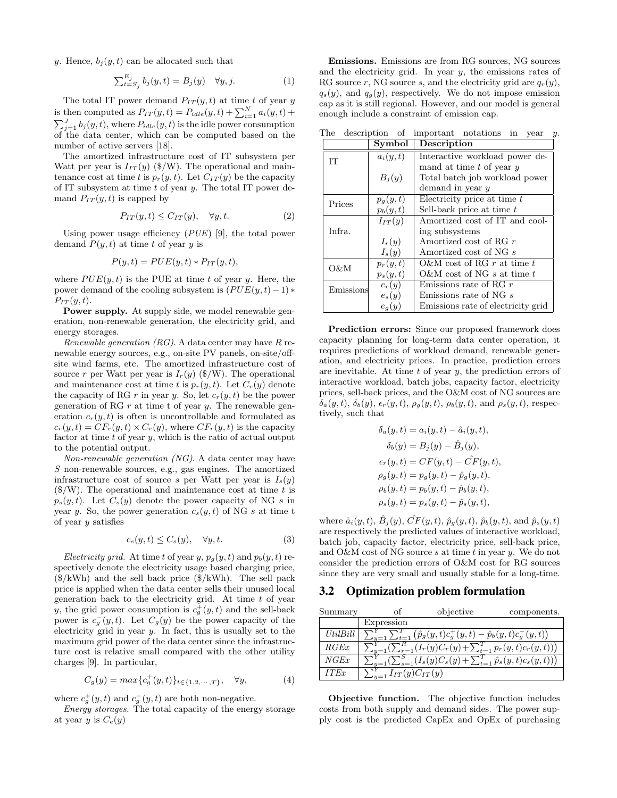y. Hence,  $b_j(y, t)$  can be allocated such that

$$
\sum_{t=S_j}^{E_j} b_j(y,t) = B_j(y) \quad \forall y, j.
$$
 (1)

The total IT power demand  $P_{IT}(y, t)$  at time t of year y is then computed as  $P_{IT}(y,t) = P_{idle}(y,t) + \sum_{i=1}^{N} a_i(y,t) +$  $\sum_{j=1}^{J} b_j(y, t)$ , where  $P_{idle}(y, t)$  is the idle power consumption of the data center, which can be computed based on the number of active servers [18].

The amortized infrastructure cost of IT subsystem per Watt per year is  $I_{IT}(y)$  (\$/W). The operational and maintenance cost at time t is  $p_r(y, t)$ . Let  $C_{IT}(y)$  be the capacity of IT subsystem at time  $t$  of year  $y$ . The total IT power demand  $P_{IT}(y, t)$  is capped by

$$
P_{IT}(y,t) \le C_{IT}(y), \quad \forall y, t. \tag{2}
$$

Using power usage efficiency  $(PUE)$  [9], the total power demand  $P(y, t)$  at time t of year y is

$$
P(y,t) = PUE(y,t) * P_{IT}(y,t),
$$

where  $PUE(y, t)$  is the PUE at time t of year y. Here, the power demand of the cooling subsystem is  $(PUE(y, t) - 1)$  ∗  $P_{IT}(y,t)$ .

Power supply. At supply side, we model renewable generation, non-renewable generation, the electricity grid, and energy storages.

Renewable generation  $(RG)$ . A data center may have R renewable energy sources, e.g., on-site PV panels, on-site/offsite wind farms, etc. The amortized infrastructure cost of source r per Watt per year is  $I_r(y)$  (\$/W). The operational and maintenance cost at time t is  $p_r(y, t)$ . Let  $C_r(y)$  denote the capacity of RG r in year y. So, let  $c_r(y, t)$  be the power generation of RG  $r$  at time t of year  $y$ . The renewable generation  $c_r(y, t)$  is often is uncontrollable and formulated as  $c_r(y, t) = CF_r(y, t) \times C_r(y)$ , where  $CF_r(y, t)$  is the capacity factor at time  $t$  of year  $y$ , which is the ratio of actual output to the potential output.

Non-renewable generation (NG). A data center may have S non-renewable sources, e.g., gas engines. The amortized infrastructure cost of source s per Watt per year is  $I_s(y)$  $(\$/W)$ . The operational and maintenance cost at time t is  $p_s(y, t)$ . Let  $C_s(y)$  denote the power capacity of NG s in year y. So, the power generation  $c_s(y, t)$  of NG s at time t of year  $y$  satisfies

$$
c_s(y, t) \le C_s(y), \quad \forall y, t. \tag{3}
$$

Electricity grid. At time t of year y,  $p_q(y, t)$  and  $p_b(y, t)$  respectively denote the electricity usage based charging price,  $(\$/kWh)$  and the sell back price  $(\$/kWh)$ . The sell pack price is applied when the data center sells their unused local generation back to the electricity grid. At time  $t$  of year y, the grid power consumption is  $c_g^{\dagger}(y,t)$  and the sell-back power is  $c_g(y, t)$ . Let  $C_g(y)$  be the power capacity of the electricity grid in year  $y$ . In fact, this is usually set to the maximum grid power of the data center since the infrastructure cost is relative small compared with the other utility charges [9]. In particular,

$$
C_g(y) = \max\{c_g^+(y, t)\}_{t \in \{1, 2, \cdots, T\}}, \quad \forall y,
$$
 (4)

where  $c_g^+(y,t)$  and  $c_g^-(y,t)$  are both non-negative.

Energy storages. The total capacity of the energy storage at year y is  $C_e(y)$ 

Emissions. Emissions are from RG sources, NG sources and the electricity grid. In year  $y$ , the emissions rates of RG source r, NG source s, and the electricity grid are  $q_r(y)$ ,  $q_s(y)$ , and  $q_g(y)$ , respectively. We do not impose emission cap as it is still regional. However, and our model is general enough include a constraint of emission cap.

The description of important notations in year y.

|           | Symbol      | Description                        |  |
|-----------|-------------|------------------------------------|--|
| IТ        | $a_i(y,t)$  | Interactive workload power de-     |  |
|           |             | mand at time $t$ of year $y$       |  |
|           | $B_i(y)$    | Total batch job workload power     |  |
|           |             | demand in year $y$                 |  |
| Prices    | $p_g(y,t)$  | Electricity price at time $t$      |  |
|           | $p_b(y,t)$  | Sell-back price at time t          |  |
|           | $I_{IT}(y)$ | Amortized cost of IT and cool-     |  |
| Infra.    |             | ing subsystems                     |  |
|           | $I_r(y)$    | Amortized cost of RG r             |  |
|           | $I_s(y)$    | Amortized cost of NG s             |  |
| O&M       | $p_r(y,t)$  | O&M cost of RG $r$ at time $t$     |  |
|           | $p_s(y,t)$  | O&M cost of NG $s$ at time $t$     |  |
| Emissions | $e_r(y)$    | Emissions rate of RG $r$           |  |
|           | $e_s(y)$    | Emissions rate of NG s             |  |
|           | $e_q(y)$    | Emissions rate of electricity grid |  |

Prediction errors: Since our proposed framework does capacity planning for long-term data center operation, it requires predictions of workload demand, renewable generation, and electricity prices. In practice, prediction errors are inevitable. At time  $t$  of year  $y$ , the prediction errors of interactive workload, batch jobs, capacity factor, electricity prices, sell-back prices, and the O&M cost of NG sources are  $\delta_a(y, t), \delta_b(y), \epsilon_r(y, t), \rho_g(y, t), \rho_b(y, t), \text{ and } \rho_s(y, t), \text{ respectively.}$ tively, such that

$$
\delta_a(y, t) = a_i(y, t) - \hat{a}_i(y, t), \n\delta_b(y) = B_j(y) - \hat{B}_j(y), \n\epsilon_r(y, t) = CF(y, t) - \hat{C}F(y, t), \n\rho_g(y, t) = p_g(y, t) - \hat{p}_g(y, t), \n\rho_b(y, t) = p_b(y, t) - \hat{p}_b(y, t), \n\rho_s(y, t) = p_s(y, t) - \hat{p}_s(y, t),
$$

where  $\hat{a}_i(y, t)$ ,  $\hat{B}_i(y)$ ,  $\hat{CF}(y, t)$ ,  $\hat{p}_q(y, t)$ ,  $\hat{p}_b(y, t)$ , and  $\hat{p}_s(y, t)$ are respectively the predicted values of interactive workload, batch job, capacity factor, electricity price, sell-back price, and O&M cost of NG source s at time t in year y. We do not consider the prediction errors of O&M cost for RG sources since they are very small and usually stable for a long-time.

#### 3.2 Optimization problem formulation

| Summary  | οt                                   | objective                                                                                                        | components. |
|----------|--------------------------------------|------------------------------------------------------------------------------------------------------------------|-------------|
|          | Expression                           |                                                                                                                  |             |
| UtilBill |                                      | $\sum_{y=1}^{r} \sum_{t=1}^{T} (\hat{p}_g(y, t) c_g^+(y, t) - \hat{p}_b(y, t) c_g^-(y, t))$                      |             |
| RGEx     |                                      | $\sum_{y=1}^{Y} \left( \sum_{r=1}^{R} \left( I_r(y) C_r(y) + \sum_{t=1}^{T} p_r(y, t) c_r(y, t) \right) \right)$ |             |
| NGEx     |                                      | $\sum_{y=1}^{Y} (\sum_{s=1}^{S} (I_s(y)C_s(y) + \sum_{t=1}^{T} \hat{p}_s(y,t) \overline{c_s(y,t)}))$             |             |
| ITEx     | $\sum_{y=1}^{I} I_{IT}(y) C_{IT}(y)$ |                                                                                                                  |             |

Objective function. The objective function includes costs from both supply and demand sides. The power supply cost is the predicted CapEx and OpEx of purchasing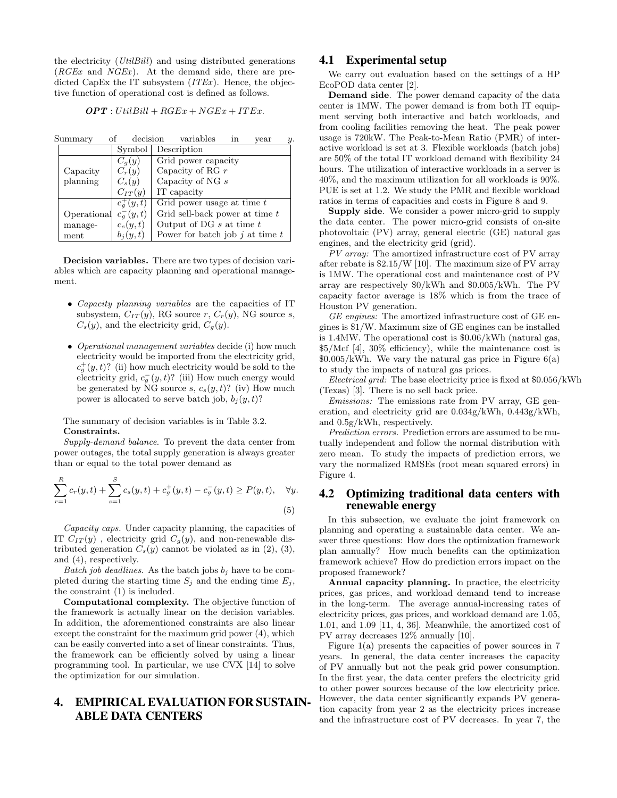the electricity (UtilBill) and using distributed generations  $(RGEx)$  and  $NGEx$ ). At the demand side, there are predicted CapEx the IT subsystem  $(ITEx)$ . Hence, the objective function of operational cost is defined as follows.

 $OPT: UtilBill + RGEx + NGEx + ITEx.$ 

| Summary     | decision<br>οf | variables<br>in<br>year<br>$\boldsymbol{u}$ . |
|-------------|----------------|-----------------------------------------------|
|             | Symbol         | Description                                   |
|             | $C_a(y)$       | Grid power capacity                           |
| Capacity    | $C_r(y)$       | Capacity of RG $r$                            |
| planning    | $C_s(y)$       | Capacity of NG $s$                            |
|             | $C_{IT}(y)$    | IT capacity                                   |
|             | $c_q^+(y,t)$   | $\overline{Grid}$ power usage at time $t$     |
| Operational | $c_q^-(y,t)$   | Grid sell-back power at time $t$              |
| manage-     | $c_s(y,t)$     | Output of DG $s$ at time $t$                  |
| ment        | $b_i(y,t)$     | Power for batch job $j$ at time $t$           |

Decision variables. There are two types of decision variables which are capacity planning and operational management.

- Capacity planning variables are the capacities of IT subsystem,  $C_{IT}(y)$ , RG source r,  $C_r(y)$ , NG source s,  $C_s(y)$ , and the electricity grid,  $C_g(y)$ .
- *Operational management variables* decide (i) how much electricity would be imported from the electricity grid,  $c_g^+(y,t)$ ? (ii) how much electricity would be sold to the electricity grid,  $c_g^-(y,t)$ ? (iii) How much energy would be generated by NG source s,  $c_s(y, t)$ ? (iv) How much power is allocated to serve batch job,  $b_j(y, t)$ ?

#### The summary of decision variables is in Table 3.2. Constraints.

Supply-demand balance. To prevent the data center from power outages, the total supply generation is always greater than or equal to the total power demand as

$$
\sum_{r=1}^{R} c_r(y, t) + \sum_{s=1}^{S} c_s(y, t) + c_g^+(y, t) - c_g^-(y, t) \ge P(y, t), \quad \forall y.
$$
\n(5)

Capacity caps. Under capacity planning, the capacities of IT  $C_{IT}(y)$ , electricity grid  $C_g(y)$ , and non-renewable distributed generation  $C_s(y)$  cannot be violated as in (2), (3), and (4), respectively.

Batch job deadlines. As the batch jobs  $b_j$  have to be completed during the starting time  $S_j$  and the ending time  $E_j$ , the constraint (1) is included.

Computational complexity. The objective function of the framework is actually linear on the decision variables. In addition, the aforementioned constraints are also linear except the constraint for the maximum grid power (4), which can be easily converted into a set of linear constraints. Thus, the framework can be efficiently solved by using a linear programming tool. In particular, we use CVX [14] to solve the optimization for our simulation.

# 4. EMPIRICAL EVALUATION FOR SUSTAIN-ABLE DATA CENTERS

## 4.1 Experimental setup

We carry out evaluation based on the settings of a HP EcoPOD data center [2].

Demand side. The power demand capacity of the data center is 1MW. The power demand is from both IT equipment serving both interactive and batch workloads, and from cooling facilities removing the heat. The peak power usage is 720kW. The Peak-to-Mean Ratio (PMR) of interactive workload is set at 3. Flexible workloads (batch jobs) are 50% of the total IT workload demand with flexibility 24 hours. The utilization of interactive workloads in a server is 40%, and the maximum utilization for all workloads is 90%. PUE is set at 1.2. We study the PMR and flexible workload ratios in terms of capacities and costs in Figure 8 and 9.

Supply side. We consider a power micro-grid to supply the data center. The power micro-grid consists of on-site photovoltaic (PV) array, general electric (GE) natural gas engines, and the electricity grid (grid).

PV array: The amortized infrastructure cost of PV array after rebate is \$2.15/W [10]. The maximum size of PV array is 1MW. The operational cost and maintenance cost of PV array are respectively \$0/kWh and \$0.005/kWh. The PV capacity factor average is 18% which is from the trace of Houston PV generation.

GE engines: The amortized infrastructure cost of GE engines is \$1/W. Maximum size of GE engines can be installed is 1.4MW. The operational cost is \$0.06/kWh (natural gas, \$5/Mcf [4], 30% efficiency), while the maintenance cost is  $$0.005/kWh$ . We vary the natural gas price in Figure 6(a) to study the impacts of natural gas prices.

Electrical grid: The base electricity price is fixed at \$0.056/kWh (Texas) [3]. There is no sell back price.

Emissions: The emissions rate from PV array, GE generation, and electricity grid are 0.034g/kWh, 0.443g/kWh, and 0.5g/kWh, respectively.

Prediction errors. Prediction errors are assumed to be mutually independent and follow the normal distribution with zero mean. To study the impacts of prediction errors, we vary the normalized RMSEs (root mean squared errors) in Figure 4.

#### 4.2 Optimizing traditional data centers with renewable energy

In this subsection, we evaluate the joint framework on planning and operating a sustainable data center. We answer three questions: How does the optimization framework plan annually? How much benefits can the optimization framework achieve? How do prediction errors impact on the proposed framework?

Annual capacity planning. In practice, the electricity prices, gas prices, and workload demand tend to increase in the long-term. The average annual-increasing rates of electricity prices, gas prices, and workload demand are 1.05, 1.01, and 1.09 [11, 4, 36]. Meanwhile, the amortized cost of PV array decreases 12% annually [10].

Figure 1(a) presents the capacities of power sources in 7 years. In general, the data center increases the capacity of PV annually but not the peak grid power consumption. In the first year, the data center prefers the electricity grid to other power sources because of the low electricity price. However, the data center significantly expands PV generation capacity from year 2 as the electricity prices increase and the infrastructure cost of PV decreases. In year 7, the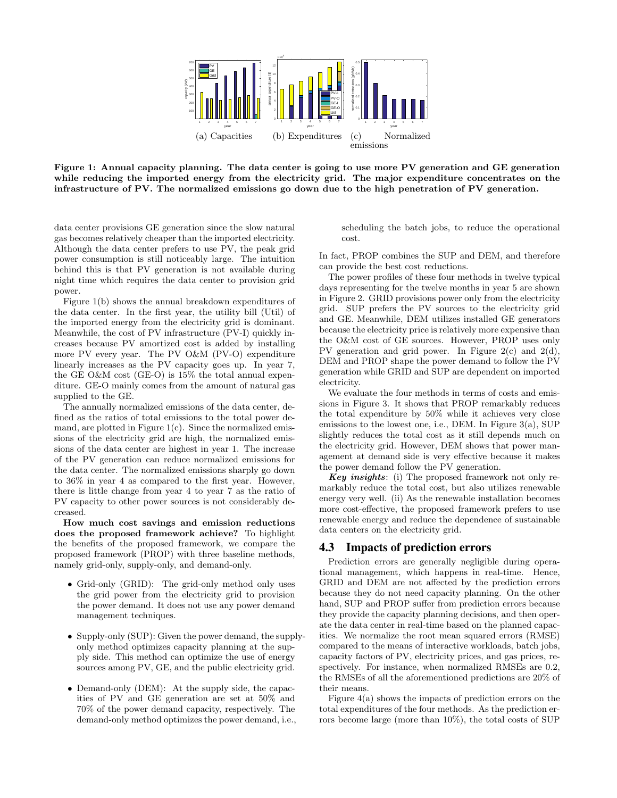

Figure 1: Annual capacity planning. The data center is going to use more PV generation and GE generation while reducing the imported energy from the electricity grid. The major expenditure concentrates on the infrastructure of PV. The normalized emissions go down due to the high penetration of PV generation.

data center provisions GE generation since the slow natural gas becomes relatively cheaper than the imported electricity. Although the data center prefers to use PV, the peak grid power consumption is still noticeably large. The intuition behind this is that PV generation is not available during night time which requires the data center to provision grid power.

Figure 1(b) shows the annual breakdown expenditures of the data center. In the first year, the utility bill (Util) of the imported energy from the electricity grid is dominant. Meanwhile, the cost of PV infrastructure (PV-I) quickly increases because PV amortized cost is added by installing more PV every year. The PV O&M (PV-O) expenditure linearly increases as the PV capacity goes up. In year 7, the GE O&M cost (GE-O) is 15% the total annual expenditure. GE-O mainly comes from the amount of natural gas supplied to the GE.

The annually normalized emissions of the data center, defined as the ratios of total emissions to the total power demand, are plotted in Figure 1(c). Since the normalized emissions of the electricity grid are high, the normalized emissions of the data center are highest in year 1. The increase of the PV generation can reduce normalized emissions for the data center. The normalized emissions sharply go down to 36% in year 4 as compared to the first year. However, there is little change from year 4 to year 7 as the ratio of PV capacity to other power sources is not considerably decreased.

How much cost savings and emission reductions does the proposed framework achieve? To highlight the benefits of the proposed framework, we compare the proposed framework (PROP) with three baseline methods, namely grid-only, supply-only, and demand-only.

- Grid-only (GRID): The grid-only method only uses the grid power from the electricity grid to provision the power demand. It does not use any power demand management techniques.
- Supply-only (SUP): Given the power demand, the supplyonly method optimizes capacity planning at the supply side. This method can optimize the use of energy sources among PV, GE, and the public electricity grid.
- Demand-only (DEM): At the supply side, the capacities of PV and GE generation are set at 50% and 70% of the power demand capacity, respectively. The demand-only method optimizes the power demand, i.e.,

scheduling the batch jobs, to reduce the operational cost.

In fact, PROP combines the SUP and DEM, and therefore can provide the best cost reductions.

The power profiles of these four methods in twelve typical days representing for the twelve months in year 5 are shown in Figure 2. GRID provisions power only from the electricity grid. SUP prefers the PV sources to the electricity grid and GE. Meanwhile, DEM utilizes installed GE generators because the electricity price is relatively more expensive than the O&M cost of GE sources. However, PROP uses only PV generation and grid power. In Figure  $2(c)$  and  $2(d)$ , DEM and PROP shape the power demand to follow the PV generation while GRID and SUP are dependent on imported electricity.

We evaluate the four methods in terms of costs and emissions in Figure 3. It shows that PROP remarkably reduces the total expenditure by 50% while it achieves very close emissions to the lowest one, i.e., DEM. In Figure 3(a), SUP slightly reduces the total cost as it still depends much on the electricity grid. However, DEM shows that power management at demand side is very effective because it makes the power demand follow the PV generation.

Key insights: (i) The proposed framework not only remarkably reduce the total cost, but also utilizes renewable energy very well. (ii) As the renewable installation becomes more cost-effective, the proposed framework prefers to use renewable energy and reduce the dependence of sustainable data centers on the electricity grid.

## 4.3 Impacts of prediction errors

Prediction errors are generally negligible during operational management, which happens in real-time. Hence, GRID and DEM are not affected by the prediction errors because they do not need capacity planning. On the other hand, SUP and PROP suffer from prediction errors because they provide the capacity planning decisions, and then operate the data center in real-time based on the planned capacities. We normalize the root mean squared errors (RMSE) compared to the means of interactive workloads, batch jobs, capacity factors of PV, electricity prices, and gas prices, respectively. For instance, when normalized RMSEs are 0.2, the RMSEs of all the aforementioned predictions are 20% of their means.

Figure 4(a) shows the impacts of prediction errors on the total expenditures of the four methods. As the prediction errors become large (more than 10%), the total costs of SUP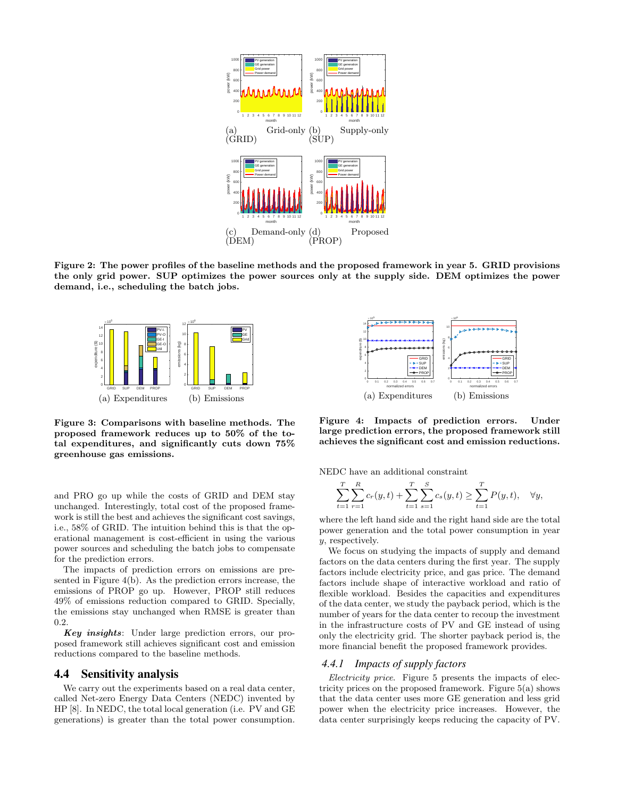

Figure 2: The power profiles of the baseline methods and the proposed framework in year 5. GRID provisions the only grid power. SUP optimizes the power sources only at the supply side. DEM optimizes the power demand, i.e., scheduling the batch jobs.



Figure 3: Comparisons with baseline methods. The proposed framework reduces up to 50% of the total expenditures, and significantly cuts down 75% greenhouse gas emissions.

and PRO go up while the costs of GRID and DEM stay unchanged. Interestingly, total cost of the proposed framework is still the best and achieves the significant cost savings, i.e., 58% of GRID. The intuition behind this is that the operational management is cost-efficient in using the various power sources and scheduling the batch jobs to compensate for the prediction errors.

The impacts of prediction errors on emissions are presented in Figure 4(b). As the prediction errors increase, the emissions of PROP go up. However, PROP still reduces 49% of emissions reduction compared to GRID. Specially, the emissions stay unchanged when RMSE is greater than 0.2.

Key insights: Under large prediction errors, our proposed framework still achieves significant cost and emission reductions compared to the baseline methods.

#### 4.4 Sensitivity analysis

We carry out the experiments based on a real data center, called Net-zero Energy Data Centers (NEDC) invented by HP [8]. In NEDC, the total local generation (i.e. PV and GE generations) is greater than the total power consumption.



Figure 4: Impacts of prediction errors. Under large prediction errors, the proposed framework still achieves the significant cost and emission reductions.

NEDC have an additional constraint

$$
\sum_{t=1}^{T} \sum_{r=1}^{R} c_r(y, t) + \sum_{t=1}^{T} \sum_{s=1}^{S} c_s(y, t) \ge \sum_{t=1}^{T} P(y, t), \quad \forall y,
$$

where the left hand side and the right hand side are the total power generation and the total power consumption in year y, respectively.

We focus on studying the impacts of supply and demand factors on the data centers during the first year. The supply factors include electricity price, and gas price. The demand factors include shape of interactive workload and ratio of flexible workload. Besides the capacities and expenditures of the data center, we study the payback period, which is the number of years for the data center to recoup the investment in the infrastructure costs of PV and GE instead of using only the electricity grid. The shorter payback period is, the more financial benefit the proposed framework provides.

#### *4.4.1 Impacts of supply factors*

Electricity price. Figure 5 presents the impacts of electricity prices on the proposed framework. Figure 5(a) shows that the data center uses more GE generation and less grid power when the electricity price increases. However, the data center surprisingly keeps reducing the capacity of PV.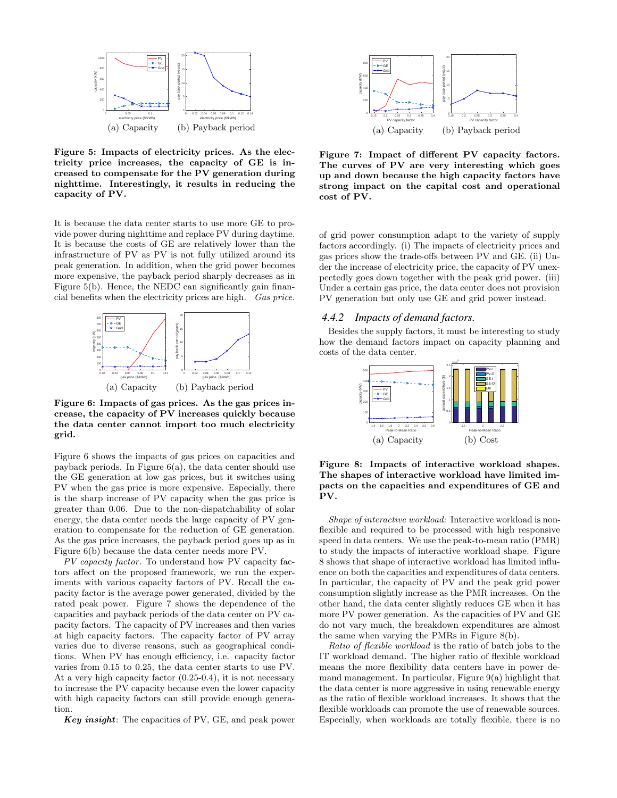

Figure 5: Impacts of electricity prices. As the electricity price increases, the capacity of GE is increased to compensate for the PV generation during nighttime. Interestingly, it results in reducing the capacity of PV.

It is because the data center starts to use more GE to provide power during nighttime and replace PV during daytime. It is because the costs of GE are relatively lower than the infrastructure of PV as PV is not fully utilized around its peak generation. In addition, when the grid power becomes more expensive, the payback period sharply decreases as in Figure 5(b). Hence, the NEDC can significantly gain financial benefits when the electricity prices are high. Gas price.



Figure 6: Impacts of gas prices. As the gas prices increase, the capacity of PV increases quickly because the data center cannot import too much electricity grid.

Figure 6 shows the impacts of gas prices on capacities and payback periods. In Figure 6(a), the data center should use the GE generation at low gas prices, but it switches using PV when the gas price is more expensive. Especially, there is the sharp increase of PV capacity when the gas price is greater than 0.06. Due to the non-dispatchability of solar energy, the data center needs the large capacity of PV generation to compensate for the reduction of GE generation. As the gas price increases, the payback period goes up as in Figure 6(b) because the data center needs more PV.

PV capacity factor. To understand how PV capacity factors affect on the proposed framework, we run the experiments with various capacity factors of PV. Recall the capacity factor is the average power generated, divided by the rated peak power. Figure 7 shows the dependence of the capacities and payback periods of the data center on PV capacity factors. The capacity of PV increases and then varies at high capacity factors. The capacity factor of PV array varies due to diverse reasons, such as geographical conditions. When PV has enough efficiency, i.e. capacity factor varies from 0.15 to 0.25, the data center starts to use PV. At a very high capacity factor (0.25-0.4), it is not necessary to increase the PV capacity because even the lower capacity with high capacity factors can still provide enough generation.

Key insight: The capacities of PV, GE, and peak power



Figure 7: Impact of different PV capacity factors. The curves of PV are very interesting which goes up and down because the high capacity factors have strong impact on the capital cost and operational cost of PV.

of grid power consumption adapt to the variety of supply factors accordingly. (i) The impacts of electricity prices and gas prices show the trade-offs between PV and GE. (ii) Under the increase of electricity price, the capacity of PV unexpectedly goes down together with the peak grid power. (iii) Under a certain gas price, the data center does not provision PV generation but only use GE and grid power instead.

## *4.4.2 Impacts of demand factors.*

Besides the supply factors, it must be interesting to study how the demand factors impact on capacity planning and costs of the data center.



Figure 8: Impacts of interactive workload shapes. The shapes of interactive workload have limited impacts on the capacities and expenditures of GE and PV.

Shape of interactive workload: Interactive workload is nonflexible and required to be processed with high responsive speed in data centers. We use the peak-to-mean ratio (PMR) to study the impacts of interactive workload shape. Figure 8 shows that shape of interactive workload has limited influence on both the capacities and expenditures of data centers. In particular, the capacity of PV and the peak grid power consumption slightly increase as the PMR increases. On the other hand, the data center slightly reduces GE when it has more PV power generation. As the capacities of PV and GE do not vary much, the breakdown expenditures are almost the same when varying the PMRs in Figure 8(b).

Ratio of flexible workload is the ratio of batch jobs to the IT workload demand. The higher ratio of flexible workload means the more flexibility data centers have in power demand management. In particular, Figure 9(a) highlight that the data center is more aggressive in using renewable energy as the ratio of flexible workload increases. It shows that the flexible workloads can promote the use of renewable sources. Especially, when workloads are totally flexible, there is no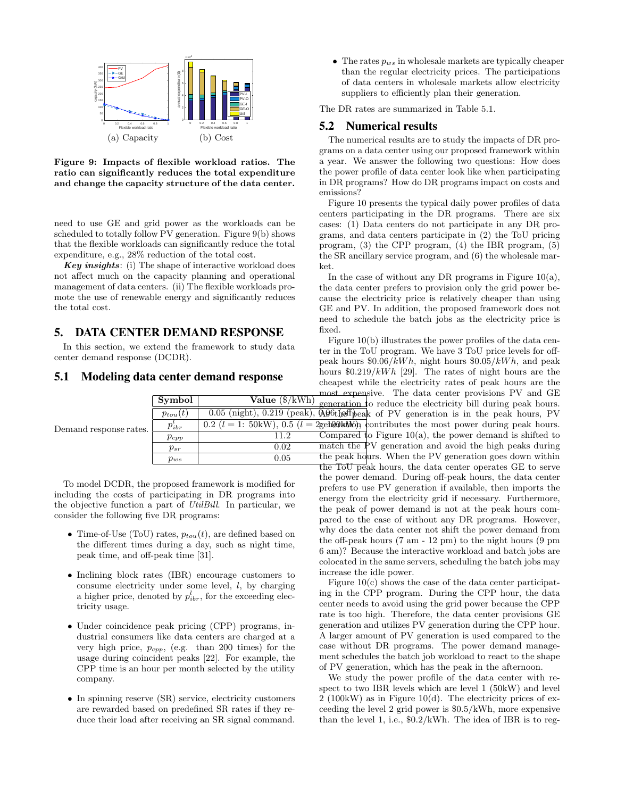

Figure 9: Impacts of flexible workload ratios. The ratio can significantly reduces the total expenditure and change the capacity structure of the data center.

need to use GE and grid power as the workloads can be scheduled to totally follow PV generation. Figure 9(b) shows that the flexible workloads can significantly reduce the total expenditure, e.g., 28% reduction of the total cost.

Key insights: (i) The shape of interactive workload does not affect much on the capacity planning and operational management of data centers. (ii) The flexible workloads promote the use of renewable energy and significantly reduces the total cost.

## 5. DATA CENTER DEMAND RESPONSE

In this section, we extend the framework to study data center demand response (DCDR).

#### 5.1 Modeling data center demand response

|                        |              | most expe                                                                |
|------------------------|--------------|--------------------------------------------------------------------------|
|                        | Symbol       | Value $(\frac{1}{8}$ /kWh)<br>generation                                 |
|                        | $p_{tou}(t)$ | $(0.05 \text{ (night)}, 0.219 \text{ (peak)}, \text{0.06} \text{ (pdf)}$ |
| Demand response rates. | $p_{ibr}$    | 0.2 $(l = 1: 50 \text{kW})$ , 0.5 $(l = 2 \text{get100kW})$              |
|                        | $p_{cpp}$    | Compared<br>11.2                                                         |
|                        | $p_{sr}$     | match the<br>0.02                                                        |
|                        | $p_{ws}$     | the peak h<br>0.05                                                       |
|                        |              |                                                                          |

To model DCDR, the proposed framework is modified for including the costs of participating in DR programs into the objective function a part of *UtilBill*. In particular, we consider the following five DR programs:

- Time-of-Use (ToU) rates,  $p_{tou}(t)$ , are defined based on the different times during a day, such as night time, peak time, and off-peak time [31].
- Inclining block rates (IBR) encourage customers to consume electricity under some level,  $l$ , by charging a higher price, denoted by  $p_{ibr}^l$ , for the exceeding electricity usage.
- Under coincidence peak pricing (CPP) programs, industrial consumers like data centers are charged at a very high price,  $p_{cpp}$ , (e.g. than 200 times) for the usage during coincident peaks [22]. For example, the CPP time is an hour per month selected by the utility company.
- In spinning reserve (SR) service, electricity customers are rewarded based on predefined SR rates if they reduce their load after receiving an SR signal command.

• The rates  $p_{ws}$  in wholesale markets are typically cheaper than the regular electricity prices. The participations of data centers in wholesale markets allow electricity suppliers to efficiently plan their generation.

The DR rates are summarized in Table 5.1.

### 5.2 Numerical results

The numerical results are to study the impacts of DR programs on a data center using our proposed framework within a year. We answer the following two questions: How does the power profile of data center look like when participating in DR programs? How do DR programs impact on costs and emissions?

Figure 10 presents the typical daily power profiles of data centers participating in the DR programs. There are six cases: (1) Data centers do not participate in any DR programs, and data centers participate in (2) the ToU pricing program, (3) the CPP program, (4) the IBR program, (5) the SR ancillary service program, and (6) the wholesale market.

In the case of without any DR programs in Figure  $10(a)$ , the data center prefers to provision only the grid power because the electricity price is relatively cheaper than using GE and PV. In addition, the proposed framework does not need to schedule the batch jobs as the electricity price is fixed.

Figure 10(b) illustrates the power profiles of the data center in the ToU program. We have 3 ToU price levels for offpeak hours  $$0.06/kWh$ , night hours  $$0.05/kWh$ , and peak hours  $$0.219/kWh$  [29]. The rates of night hours are the cheapest while the electricity rates of peak hours are the expensive. The data center provisions PV and GE

tion to reduce the electricity bill during peak hours.  $\sqrt{f}$  peak of PV generation is in the peak hours, PV Wo contributes the most power during peak hours. ared to Figure 10(a), the power demand is shifted to  $\overline{\text{the PV}}$  generation and avoid the high peaks during ak hours. When the PV generation goes down within the ToU peak hours, the data center operates GE to serve the power demand. During off-peak hours, the data center prefers to use PV generation if available, then imports the energy from the electricity grid if necessary. Furthermore, the peak of power demand is not at the peak hours compared to the case of without any DR programs. However, why does the data center not shift the power demand from the off-peak hours (7 am - 12 pm) to the night hours (9 pm 6 am)? Because the interactive workload and batch jobs are colocated in the same servers, scheduling the batch jobs may increase the idle power.

Figure 10(c) shows the case of the data center participating in the CPP program. During the CPP hour, the data center needs to avoid using the grid power because the CPP rate is too high. Therefore, the data center provisions GE generation and utilizes PV generation during the CPP hour. A larger amount of PV generation is used compared to the case without DR programs. The power demand management schedules the batch job workload to react to the shape of PV generation, which has the peak in the afternoon.

We study the power profile of the data center with respect to two IBR levels which are level 1 (50kW) and level 2 (100kW) as in Figure 10(d). The electricity prices of exceeding the level 2 grid power is \$0.5/kWh, more expensive than the level 1, i.e.,  $6.2/\text{kWh}$ . The idea of IBR is to reg-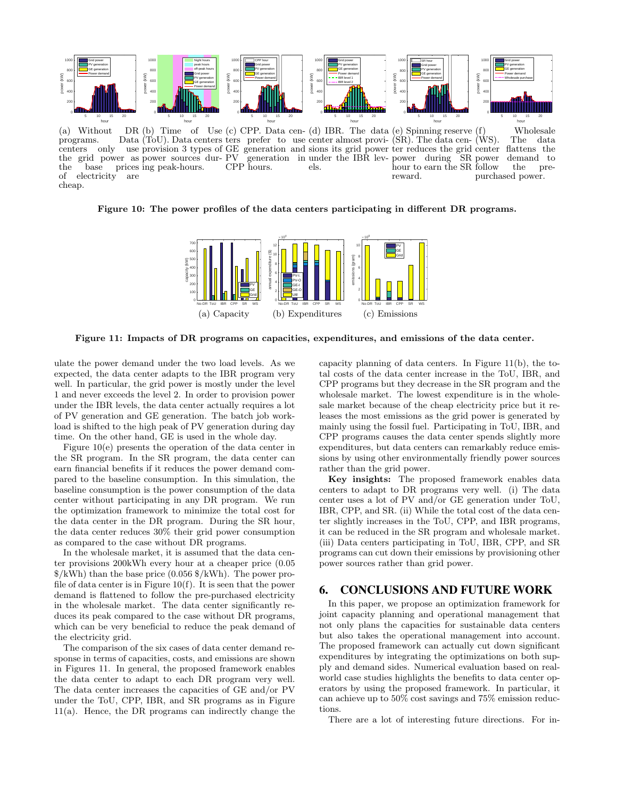

centers only the grid power as power sources durthe base prices ing peak-hours. of electricity are cheap. provision 3 types of GE generation and sions its grid power ter reduces the grid PV generation in under the IBR lev-power during SR CPP hours. els. hour to earn the SR follow the prereward. flattens the SR power demand to purchased power.

Figure 10: The power profiles of the data centers participating in different DR programs.



Figure 11: Impacts of DR programs on capacities, expenditures, and emissions of the data center.

ulate the power demand under the two load levels. As we expected, the data center adapts to the IBR program very well. In particular, the grid power is mostly under the level 1 and never exceeds the level 2. In order to provision power under the IBR levels, the data center actually requires a lot of PV generation and GE generation. The batch job workload is shifted to the high peak of PV generation during day time. On the other hand, GE is used in the whole day.

Figure 10(e) presents the operation of the data center in the SR program. In the SR program, the data center can earn financial benefits if it reduces the power demand compared to the baseline consumption. In this simulation, the baseline consumption is the power consumption of the data center without participating in any DR program. We run the optimization framework to minimize the total cost for the data center in the DR program. During the SR hour, the data center reduces 30% their grid power consumption as compared to the case without DR programs.

In the wholesale market, it is assumed that the data center provisions 200kWh every hour at a cheaper price (0.05  $\gamma$ kWh) than the base price (0.056  $\gamma$ kWh). The power profile of data center is in Figure 10(f). It is seen that the power demand is flattened to follow the pre-purchased electricity in the wholesale market. The data center significantly reduces its peak compared to the case without DR programs, which can be very beneficial to reduce the peak demand of the electricity grid.

The comparison of the six cases of data center demand response in terms of capacities, costs, and emissions are shown in Figures 11. In general, the proposed framework enables the data center to adapt to each DR program very well. The data center increases the capacities of GE and/or PV under the ToU, CPP, IBR, and SR programs as in Figure 11(a). Hence, the DR programs can indirectly change the capacity planning of data centers. In Figure 11(b), the total costs of the data center increase in the ToU, IBR, and CPP programs but they decrease in the SR program and the wholesale market. The lowest expenditure is in the wholesale market because of the cheap electricity price but it releases the most emissions as the grid power is generated by mainly using the fossil fuel. Participating in ToU, IBR, and CPP programs causes the data center spends slightly more expenditures, but data centers can remarkably reduce emissions by using other environmentally friendly power sources rather than the grid power.

Key insights: The proposed framework enables data centers to adapt to DR programs very well. (i) The data center uses a lot of PV and/or GE generation under ToU, IBR, CPP, and SR. (ii) While the total cost of the data center slightly increases in the ToU, CPP, and IBR programs, it can be reduced in the SR program and wholesale market. (iii) Data centers participating in ToU, IBR, CPP, and SR programs can cut down their emissions by provisioning other power sources rather than grid power.

#### 6. CONCLUSIONS AND FUTURE WORK

In this paper, we propose an optimization framework for joint capacity planning and operational management that not only plans the capacities for sustainable data centers but also takes the operational management into account. The proposed framework can actually cut down significant expenditures by integrating the optimizations on both supply and demand sides. Numerical evaluation based on realworld case studies highlights the benefits to data center operators by using the proposed framework. In particular, it can achieve up to 50% cost savings and 75% emission reductions.

There are a lot of interesting future directions. For in-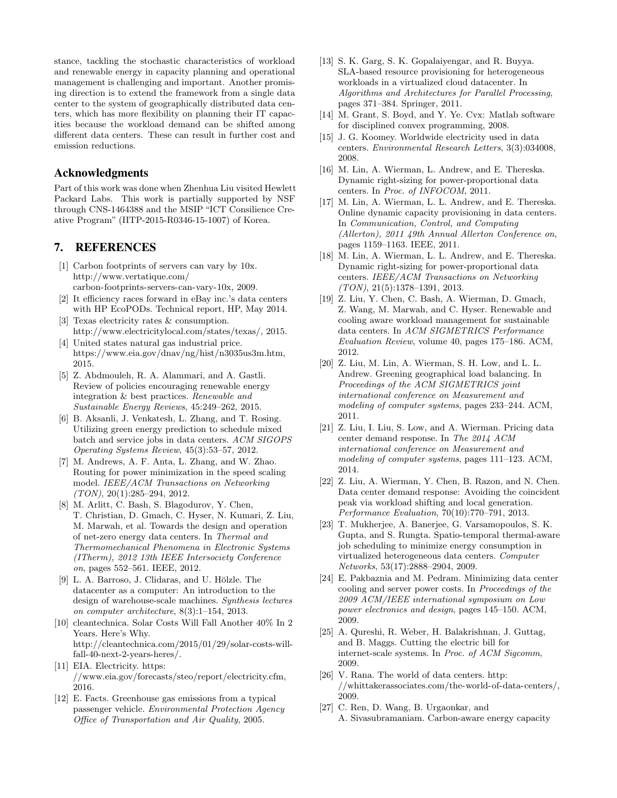stance, tackling the stochastic characteristics of workload and renewable energy in capacity planning and operational management is challenging and important. Another promising direction is to extend the framework from a single data center to the system of geographically distributed data centers, which has more flexibility on planning their IT capacities because the workload demand can be shifted among different data centers. These can result in further cost and emission reductions.

## Acknowledgments

Part of this work was done when Zhenhua Liu visited Hewlett Packard Labs. This work is partially supported by NSF through CNS-1464388 and the MSIP "ICT Consilience Creative Program" (IITP-2015-R0346-15-1007) of Korea.

## 7. REFERENCES

- [1] Carbon footprints of servers can vary by 10x. http://www.vertatique.com/ carbon-footprints-servers-can-vary-10x, 2009.
- [2] It efficiency races forward in eBay inc.'s data centers with HP EcoPODs. Technical report, HP, May 2014.
- [3] Texas electricity rates & consumption. http://www.electricitylocal.com/states/texas/, 2015.
- [4] United states natural gas industrial price. https://www.eia.gov/dnav/ng/hist/n3035us3m.htm, 2015.
- [5] Z. Abdmouleh, R. A. Alammari, and A. Gastli. Review of policies encouraging renewable energy integration & best practices. Renewable and Sustainable Energy Reviews, 45:249–262, 2015.
- [6] B. Aksanli, J. Venkatesh, L. Zhang, and T. Rosing. Utilizing green energy prediction to schedule mixed batch and service jobs in data centers. ACM SIGOPS Operating Systems Review, 45(3):53–57, 2012.
- [7] M. Andrews, A. F. Anta, L. Zhang, and W. Zhao. Routing for power minimization in the speed scaling model. IEEE/ACM Transactions on Networking  $(TON), 20(1):285-294, 2012.$
- [8] M. Arlitt, C. Bash, S. Blagodurov, Y. Chen, T. Christian, D. Gmach, C. Hyser, N. Kumari, Z. Liu, M. Marwah, et al. Towards the design and operation of net-zero energy data centers. In Thermal and Thermomechanical Phenomena in Electronic Systems (ITherm), 2012 13th IEEE Intersociety Conference on, pages 552–561. IEEE, 2012.
- [9] L. A. Barroso, J. Clidaras, and U. Hölzle. The datacenter as a computer: An introduction to the design of warehouse-scale machines. Synthesis lectures on computer architecture, 8(3):1–154, 2013.
- [10] cleantechnica. Solar Costs Will Fall Another 40% In 2 Years. Here's Why. http://cleantechnica.com/2015/01/29/solar-costs-willfall-40-next-2-years-heres/.
- [11] EIA. Electricity. https: //www.eia.gov/forecasts/steo/report/electricity.cfm, 2016.
- [12] E. Facts. Greenhouse gas emissions from a typical passenger vehicle. Environmental Protection Agency Office of Transportation and Air Quality, 2005.
- [13] S. K. Garg, S. K. Gopalaiyengar, and R. Buyya. SLA-based resource provisioning for heterogeneous workloads in a virtualized cloud datacenter. In Algorithms and Architectures for Parallel Processing, pages 371–384. Springer, 2011.
- [14] M. Grant, S. Boyd, and Y. Ye. Cvx: Matlab software for disciplined convex programming, 2008.
- [15] J. G. Koomey. Worldwide electricity used in data centers. Environmental Research Letters, 3(3):034008, 2008.
- [16] M. Lin, A. Wierman, L. Andrew, and E. Thereska. Dynamic right-sizing for power-proportional data centers. In Proc. of INFOCOM, 2011.
- [17] M. Lin, A. Wierman, L. L. Andrew, and E. Thereska. Online dynamic capacity provisioning in data centers. In Communication, Control, and Computing (Allerton), 2011 49th Annual Allerton Conference on, pages 1159–1163. IEEE, 2011.
- [18] M. Lin, A. Wierman, L. L. Andrew, and E. Thereska. Dynamic right-sizing for power-proportional data centers. IEEE/ACM Transactions on Networking  $(TON), 21(5):1378-1391, 2013.$
- [19] Z. Liu, Y. Chen, C. Bash, A. Wierman, D. Gmach, Z. Wang, M. Marwah, and C. Hyser. Renewable and cooling aware workload management for sustainable data centers. In ACM SIGMETRICS Performance Evaluation Review, volume 40, pages 175–186. ACM, 2012.
- [20] Z. Liu, M. Lin, A. Wierman, S. H. Low, and L. L. Andrew. Greening geographical load balancing. In Proceedings of the ACM SIGMETRICS joint international conference on Measurement and modeling of computer systems, pages 233–244. ACM, 2011.
- [21] Z. Liu, I. Liu, S. Low, and A. Wierman. Pricing data center demand response. In The 2014 ACM international conference on Measurement and modeling of computer systems, pages 111–123. ACM, 2014.
- [22] Z. Liu, A. Wierman, Y. Chen, B. Razon, and N. Chen. Data center demand response: Avoiding the coincident peak via workload shifting and local generation. Performance Evaluation, 70(10):770–791, 2013.
- [23] T. Mukherjee, A. Banerjee, G. Varsamopoulos, S. K. Gupta, and S. Rungta. Spatio-temporal thermal-aware job scheduling to minimize energy consumption in virtualized heterogeneous data centers. Computer Networks, 53(17):2888–2904, 2009.
- [24] E. Pakbaznia and M. Pedram. Minimizing data center cooling and server power costs. In Proceedings of the 2009 ACM/IEEE international symposium on Low power electronics and design, pages 145–150. ACM, 2009.
- [25] A. Qureshi, R. Weber, H. Balakrishnan, J. Guttag, and B. Maggs. Cutting the electric bill for internet-scale systems. In Proc. of ACM Sigcomm, 2009.
- [26] V. Rana. The world of data centers. http: //whittakerassociates.com/the-world-of-data-centers/, 2009.
- [27] C. Ren, D. Wang, B. Urgaonkar, and A. Sivasubramaniam. Carbon-aware energy capacity